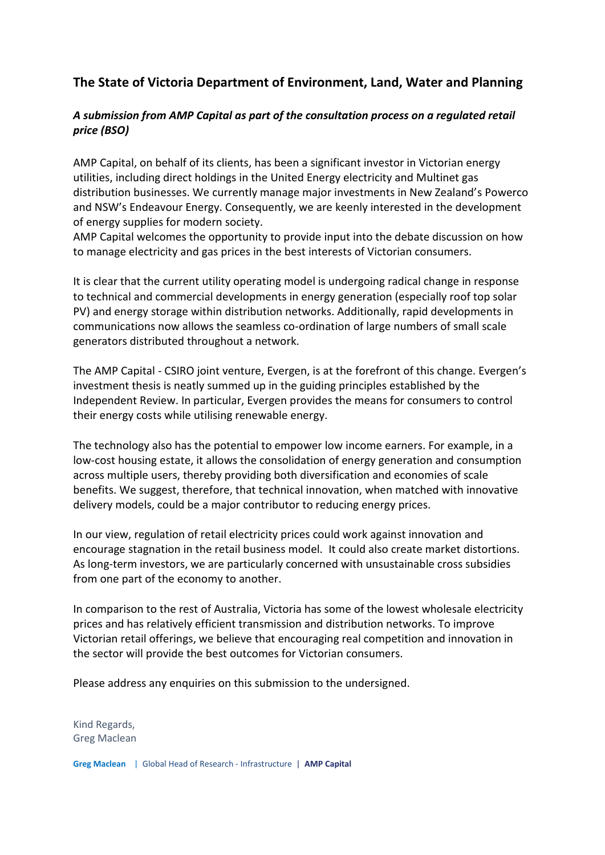## **The State of Victoria Department of Environment, Land, Water and Planning**

## *A submission from AMP Capital as part of the consultation process on a regulated retail price (BSO)*

AMP Capital, on behalf of its clients, has been a significant investor in Victorian energy utilities, including direct holdings in the United Energy electricity and Multinet gas distribution businesses. We currently manage major investments in New Zealand's Powerco and NSW's Endeavour Energy. Consequently, we are keenly interested in the development of energy supplies for modern society.

AMP Capital welcomes the opportunity to provide input into the debate discussion on how to manage electricity and gas prices in the best interests of Victorian consumers.

It is clear that the current utility operating model is undergoing radical change in response to technical and commercial developments in energy generation (especially roof top solar PV) and energy storage within distribution networks. Additionally, rapid developments in communications now allows the seamless co-ordination of large numbers of small scale generators distributed throughout a network.

The AMP Capital - CSIRO joint venture, Evergen, is at the forefront of this change. Evergen's investment thesis is neatly summed up in the guiding principles established by the Independent Review. In particular, Evergen provides the means for consumers to control their energy costs while utilising renewable energy.

The technology also has the potential to empower low income earners. For example, in a low-cost housing estate, it allows the consolidation of energy generation and consumption across multiple users, thereby providing both diversification and economies of scale benefits. We suggest, therefore, that technical innovation, when matched with innovative delivery models, could be a major contributor to reducing energy prices.

In our view, regulation of retail electricity prices could work against innovation and encourage stagnation in the retail business model. It could also create market distortions. As long-term investors, we are particularly concerned with unsustainable cross subsidies from one part of the economy to another.

In comparison to the rest of Australia, Victoria has some of the lowest wholesale electricity prices and has relatively efficient transmission and distribution networks. To improve Victorian retail offerings, we believe that encouraging real competition and innovation in the sector will provide the best outcomes for Victorian consumers.

Please address any enquiries on this submission to the undersigned.

Kind Regards, Greg Maclean

**Greg Maclean** | Global Head of Research - Infrastructure | **AMP Capital**